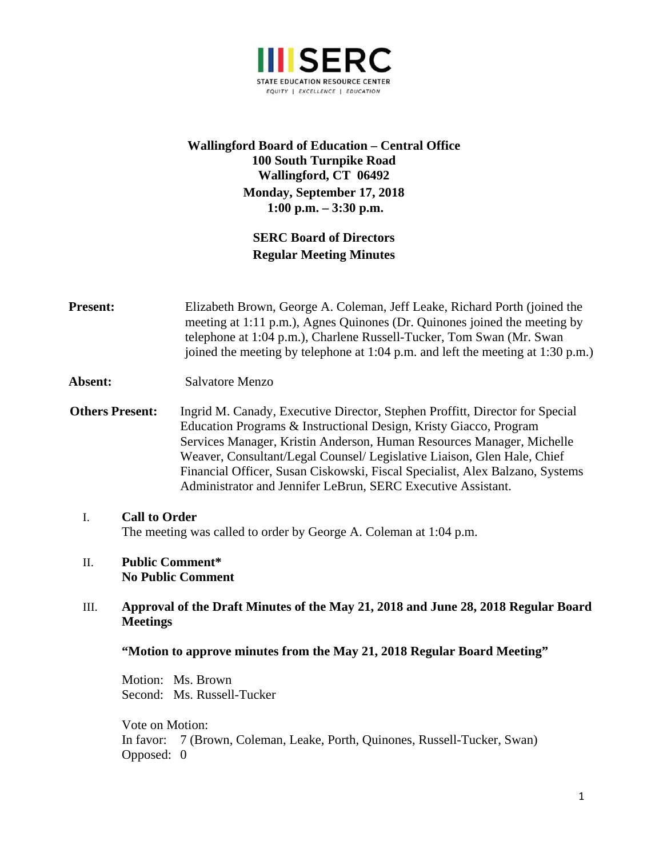

# **Wallingford Board of Education – Central Office 100 South Turnpike Road Wallingford, CT 06492 Monday, September 17, 2018 1:00 p.m. – 3:30 p.m.**

# **SERC Board of Directors Regular Meeting Minutes**

**Present:** Elizabeth Brown, George A. Coleman, Jeff Leake, Richard Porth (joined the meeting at 1:11 p.m.), Agnes Quinones (Dr. Quinones joined the meeting by telephone at 1:04 p.m.), Charlene Russell-Tucker, Tom Swan (Mr. Swan joined the meeting by telephone at 1:04 p.m. and left the meeting at 1:30 p.m.)

### Absent: Salvatore Menzo

- **Others Present:** Ingrid M. Canady, Executive Director, Stephen Proffitt, Director for Special Education Programs & Instructional Design, Kristy Giacco, Program Services Manager, Kristin Anderson, Human Resources Manager, Michelle Weaver, Consultant/Legal Counsel/ Legislative Liaison, Glen Hale, Chief Financial Officer, Susan Ciskowski, Fiscal Specialist, Alex Balzano, Systems Administrator and Jennifer LeBrun, SERC Executive Assistant.
	- I. **Call to Order**  The meeting was called to order by George A. Coleman at 1:04 p.m.

#### II. **Public Comment\* No Public Comment**

## III. **Approval of the Draft Minutes of the May 21, 2018 and June 28, 2018 Regular Board Meetings**

### **"Motion to approve minutes from the May 21, 2018 Regular Board Meeting"**

Motion: Ms. Brown Second: Ms. Russell-Tucker

Vote on Motion: In favor: 7 (Brown, Coleman, Leake, Porth, Quinones, Russell-Tucker, Swan) Opposed: 0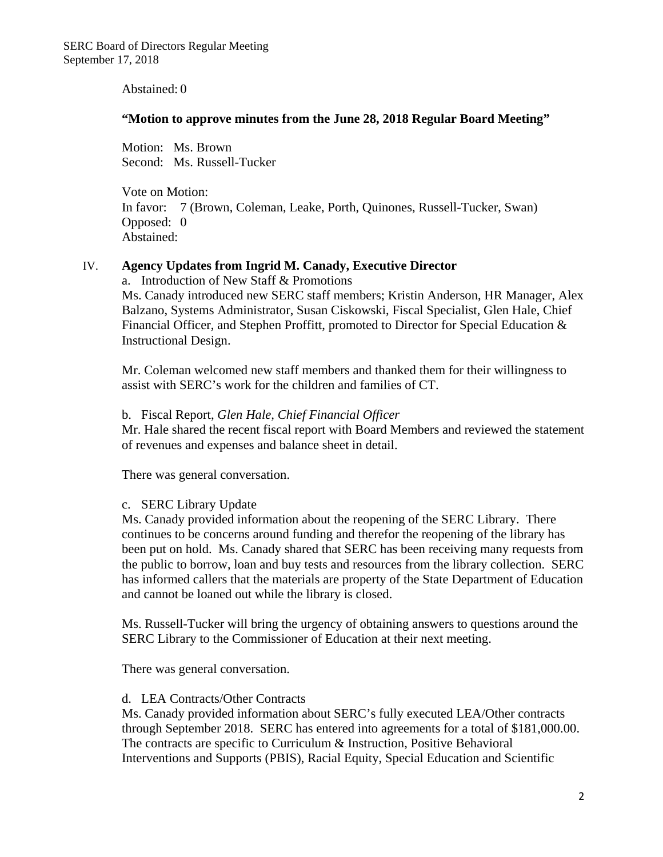Abstained: 0

#### **"Motion to approve minutes from the June 28, 2018 Regular Board Meeting"**

Motion: Ms. Brown Second: Ms. Russell-Tucker

Vote on Motion: In favor: 7 (Brown, Coleman, Leake, Porth, Quinones, Russell-Tucker, Swan) Opposed: 0 Abstained:

### IV. **Agency Updates from Ingrid M. Canady, Executive Director**

a. Introduction of New Staff & Promotions

Ms. Canady introduced new SERC staff members; Kristin Anderson, HR Manager, Alex Balzano, Systems Administrator, Susan Ciskowski, Fiscal Specialist, Glen Hale, Chief Financial Officer, and Stephen Proffitt, promoted to Director for Special Education & Instructional Design.

Mr. Coleman welcomed new staff members and thanked them for their willingness to assist with SERC's work for the children and families of CT.

#### b. Fiscal Report, *Glen Hale, Chief Financial Officer*

Mr. Hale shared the recent fiscal report with Board Members and reviewed the statement of revenues and expenses and balance sheet in detail.

There was general conversation.

### c. SERC Library Update

Ms. Canady provided information about the reopening of the SERC Library. There continues to be concerns around funding and therefor the reopening of the library has been put on hold. Ms. Canady shared that SERC has been receiving many requests from the public to borrow, loan and buy tests and resources from the library collection. SERC has informed callers that the materials are property of the State Department of Education and cannot be loaned out while the library is closed.

Ms. Russell-Tucker will bring the urgency of obtaining answers to questions around the SERC Library to the Commissioner of Education at their next meeting.

There was general conversation.

### d. LEA Contracts/Other Contracts

Ms. Canady provided information about SERC's fully executed LEA/Other contracts through September 2018. SERC has entered into agreements for a total of \$181,000.00. The contracts are specific to Curriculum & Instruction, Positive Behavioral Interventions and Supports (PBIS), Racial Equity, Special Education and Scientific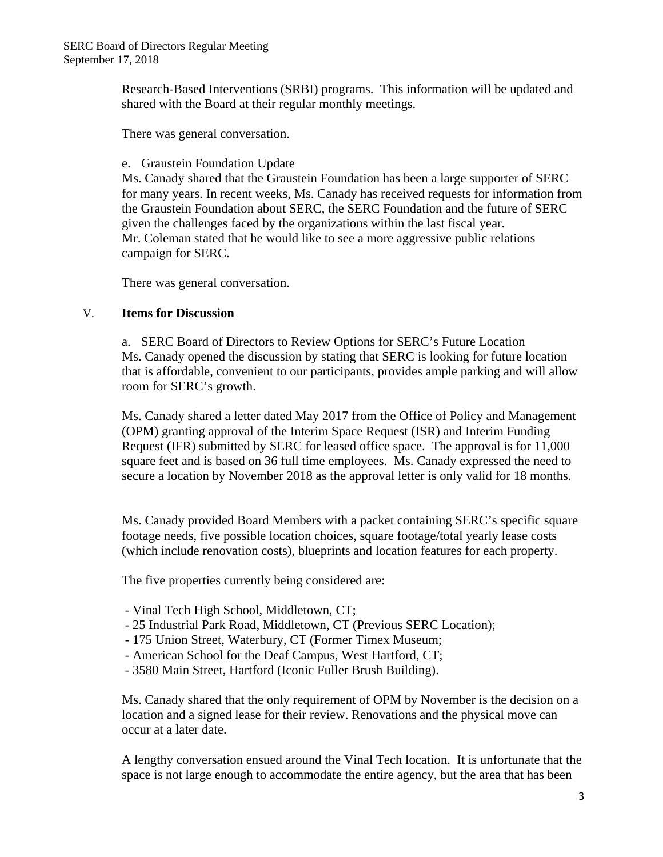Research-Based Interventions (SRBI) programs. This information will be updated and shared with the Board at their regular monthly meetings.

There was general conversation.

e. Graustein Foundation Update

Ms. Canady shared that the Graustein Foundation has been a large supporter of SERC for many years. In recent weeks, Ms. Canady has received requests for information from the Graustein Foundation about SERC, the SERC Foundation and the future of SERC given the challenges faced by the organizations within the last fiscal year. Mr. Coleman stated that he would like to see a more aggressive public relations campaign for SERC.

There was general conversation.

### V. **Items for Discussion**

a. SERC Board of Directors to Review Options for SERC's Future Location Ms. Canady opened the discussion by stating that SERC is looking for future location that is affordable, convenient to our participants, provides ample parking and will allow room for SERC's growth.

Ms. Canady shared a letter dated May 2017 from the Office of Policy and Management (OPM) granting approval of the Interim Space Request (ISR) and Interim Funding Request (IFR) submitted by SERC for leased office space. The approval is for 11,000 square feet and is based on 36 full time employees. Ms. Canady expressed the need to secure a location by November 2018 as the approval letter is only valid for 18 months.

Ms. Canady provided Board Members with a packet containing SERC's specific square footage needs, five possible location choices, square footage/total yearly lease costs (which include renovation costs), blueprints and location features for each property.

The five properties currently being considered are:

- Vinal Tech High School, Middletown, CT;
- 25 Industrial Park Road, Middletown, CT (Previous SERC Location);
- 175 Union Street, Waterbury, CT (Former Timex Museum;
- American School for the Deaf Campus, West Hartford, CT;
- 3580 Main Street, Hartford (Iconic Fuller Brush Building).

Ms. Canady shared that the only requirement of OPM by November is the decision on a location and a signed lease for their review. Renovations and the physical move can occur at a later date.

A lengthy conversation ensued around the Vinal Tech location. It is unfortunate that the space is not large enough to accommodate the entire agency, but the area that has been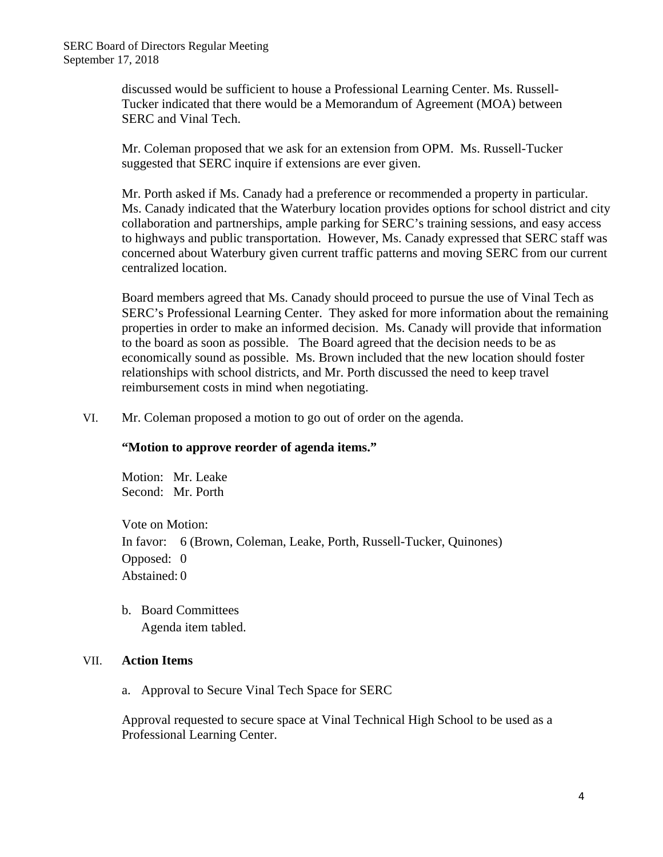discussed would be sufficient to house a Professional Learning Center. Ms. Russell-Tucker indicated that there would be a Memorandum of Agreement (MOA) between SERC and Vinal Tech.

Mr. Coleman proposed that we ask for an extension from OPM. Ms. Russell-Tucker suggested that SERC inquire if extensions are ever given.

Mr. Porth asked if Ms. Canady had a preference or recommended a property in particular. Ms. Canady indicated that the Waterbury location provides options for school district and city collaboration and partnerships, ample parking for SERC's training sessions, and easy access to highways and public transportation. However, Ms. Canady expressed that SERC staff was concerned about Waterbury given current traffic patterns and moving SERC from our current centralized location.

Board members agreed that Ms. Canady should proceed to pursue the use of Vinal Tech as SERC's Professional Learning Center. They asked for more information about the remaining properties in order to make an informed decision. Ms. Canady will provide that information to the board as soon as possible. The Board agreed that the decision needs to be as economically sound as possible. Ms. Brown included that the new location should foster relationships with school districts, and Mr. Porth discussed the need to keep travel reimbursement costs in mind when negotiating.

VI. Mr. Coleman proposed a motion to go out of order on the agenda.

### **"Motion to approve reorder of agenda items."**

Motion: Mr. Leake Second: Mr. Porth

Vote on Motion: In favor: 6 (Brown, Coleman, Leake, Porth, Russell-Tucker, Quinones) Opposed: 0 Abstained: 0

b. Board Committees Agenda item tabled.

### VII. **Action Items**

a. Approval to Secure Vinal Tech Space for SERC

Approval requested to secure space at Vinal Technical High School to be used as a Professional Learning Center.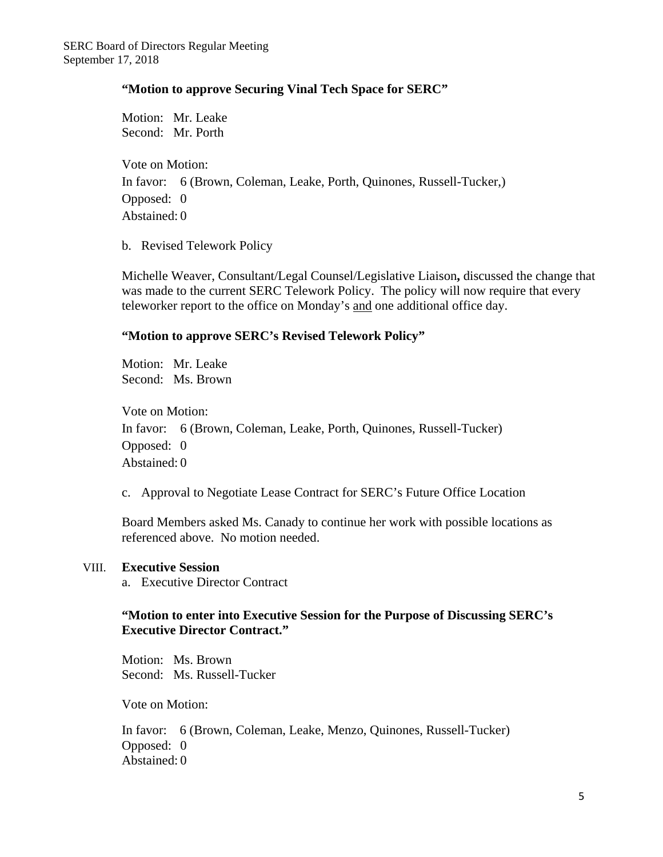### **"Motion to approve Securing Vinal Tech Space for SERC"**

Motion: Mr. Leake Second: Mr. Porth

Vote on Motion: In favor: 6 (Brown, Coleman, Leake, Porth, Quinones, Russell-Tucker,) Opposed: 0 Abstained: 0

b. Revised Telework Policy

Michelle Weaver, Consultant/Legal Counsel/Legislative Liaison**,** discussed the change that was made to the current SERC Telework Policy. The policy will now require that every teleworker report to the office on Monday's and one additional office day.

### **"Motion to approve SERC's Revised Telework Policy"**

Motion: Mr. Leake Second: Ms. Brown

Vote on Motion: In favor: 6 (Brown, Coleman, Leake, Porth, Quinones, Russell-Tucker) Opposed: 0 Abstained: 0

c. Approval to Negotiate Lease Contract for SERC's Future Office Location

Board Members asked Ms. Canady to continue her work with possible locations as referenced above. No motion needed.

### VIII. **Executive Session**

a. Executive Director Contract

## **"Motion to enter into Executive Session for the Purpose of Discussing SERC's Executive Director Contract."**

Motion: Ms. Brown Second: Ms. Russell-Tucker

Vote on Motion:

In favor: 6 (Brown, Coleman, Leake, Menzo, Quinones, Russell-Tucker) Opposed: 0 Abstained: 0